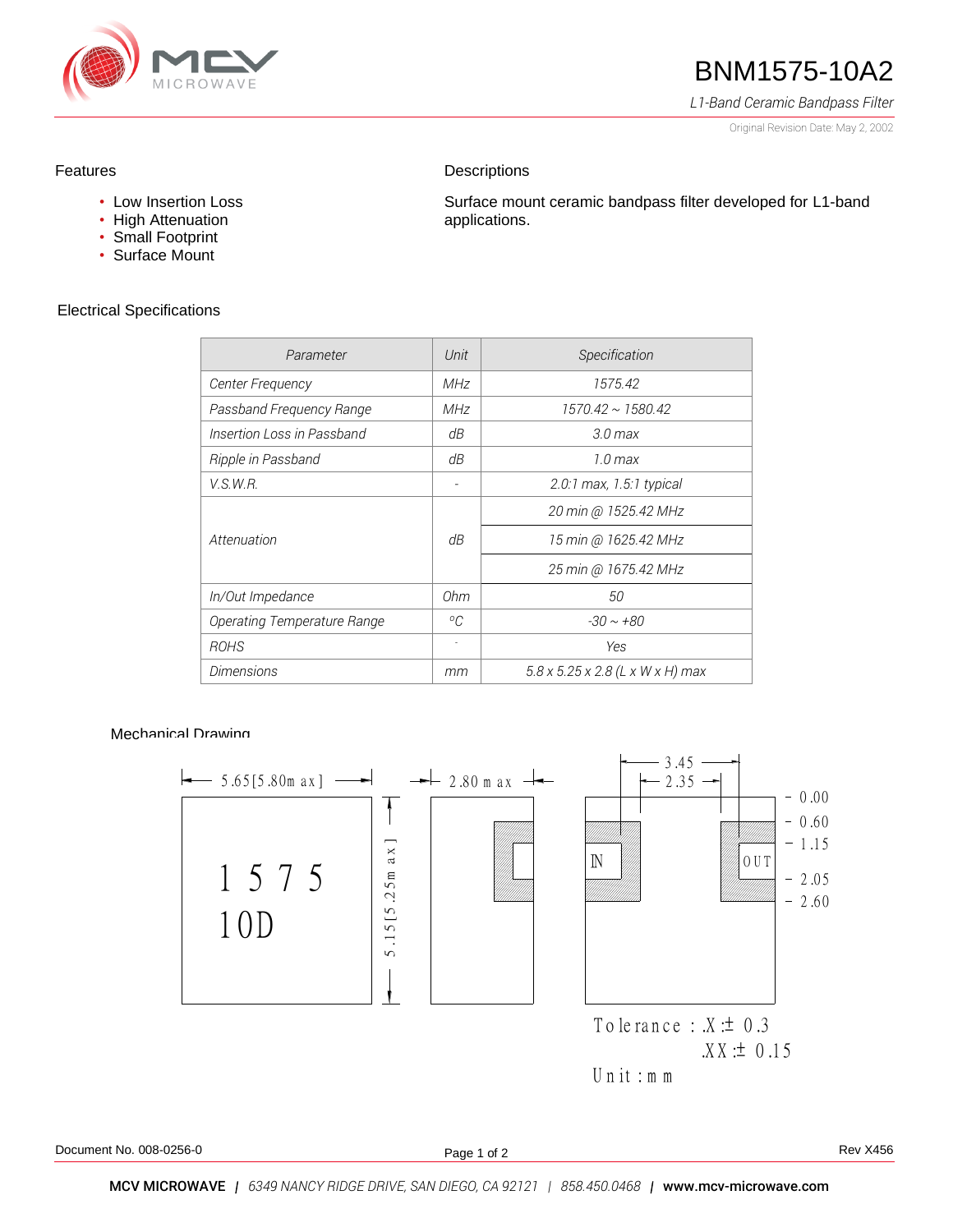

# **538** BNM1575-10A2

*L1-Band Ceramic Bandpass Filter*

Original Revision Date: May 2, 2002

## Features

- Low Insertion Loss
- High Attenuation
- Small Footprint
- Surface Mount

### Electrical Specifications

Surface mount ceramic bandpass filter developed for L1-band applications.

| Parameter                          | Unit        | Specification                    |
|------------------------------------|-------------|----------------------------------|
| <b>Center Frequency</b>            | <b>MHz</b>  | 1575.42                          |
| Passband Frequency Range           | <b>MHz</b>  | $1570.42 \sim 1580.42$           |
| Insertion Loss in Passband         | dΒ          | 3.0 <sub>max</sub>               |
| Ripple in Passband                 | dΒ          | $1.0 \text{ max}$                |
| V.S.W.R.                           |             | 2.0:1 max, 1.5:1 typical         |
|                                    |             | 20 min @ 1525.42 MHz             |
| Attenuation                        | dB          | 15 min @ 1625.42 MHz             |
|                                    |             | 25 min @ 1675.42 MHz             |
| In/Out Impedance                   | Ohm         | 50                               |
| <b>Operating Temperature Range</b> | $^{\circ}C$ | $-30 \sim +80$                   |
| <b>ROHS</b>                        | $\sim$      | Yes                              |
| Dimensions                         | mm          | 5.8 x 5.25 x 2.8 (L x W x H) max |

**Descriptions** 

#### Mechanical Drawing



Document No. 008-0256-0 Rev X456

Page 1 of 2